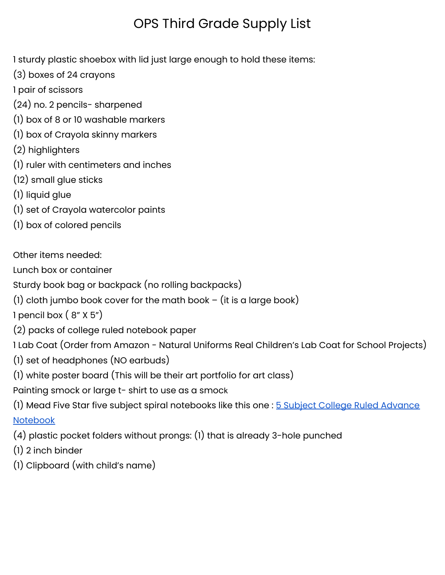## OPS Third Grade Supply List

1 sturdy plastic shoebox with lid just large enough to hold these items:

- (3) boxes of 24 crayons
- 1 pair of scissors
- (24) no. 2 pencils- sharpened
- (1) box of 8 or 10 washable markers
- (1) box of Crayola skinny markers
- (2) highlighters
- (1) ruler with centimeters and inches
- (12) small glue sticks
- (1) liquid glue
- (1) set of Crayola watercolor paints
- (1) box of colored pencils

## Other items needed:

Lunch box or container

Sturdy book bag or backpack (no rolling backpacks)

(1) cloth jumbo book cover for the math book  $-$  (it is a large book)

1 pencil box  $(8" X 5")$ 

(2) packs of college ruled notebook paper

1 Lab Coat (Order from Amazon - Natural Uniforms Real Children's Lab Coat for School Projects)

- (1) set of headphones (NO earbuds)
- (1) white poster board (This will be their art portfolio for art class)

Painting smock or large t- shirt to use as a smock

(1) Mead Five Star five subject spiral notebooks like this one : 5 Subject College Ruled [Advance](https://www.target.com/p/five-star-5-subject-college-ruled-advance-spiral-notebook-with-pocket-dividers-colors-may-vary/-/A-14046075#lnk=sametab) [Notebook](https://www.target.com/p/five-star-5-subject-college-ruled-advance-spiral-notebook-with-pocket-dividers-colors-may-vary/-/A-14046075#lnk=sametab)

(4) plastic pocket folders without prongs: (1) that is already 3-hole punched

- (1) 2 inch binder
- (1) Clipboard (with child's name)